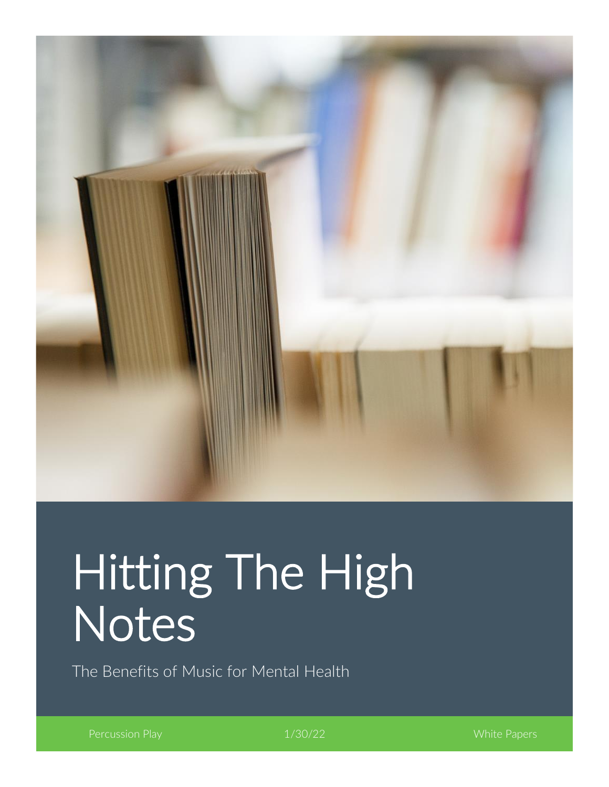

# Hitting The High Notes

The Benefits of Music for Mental Health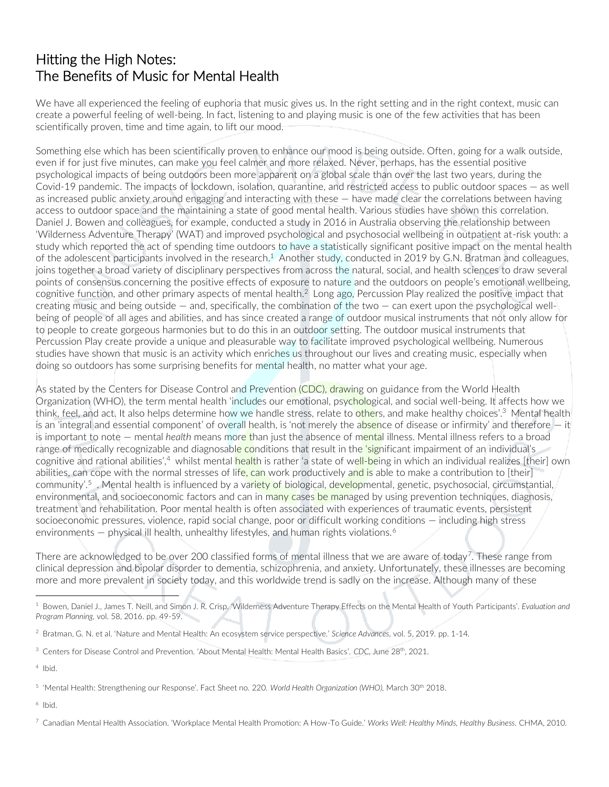## Hitting the High Notes: The Benefits of Music for Mental Health

We have all experienced the feeling of euphoria that music gives us. In the right setting and in the right context, music can create a powerful feeling of well-being. In fact, listening to and playing music is one of the few activities that has been scientifically proven, time and time again, to lift our mood.

Something else which has been scientifically proven to enhance our mood is being outside. Often, going for a walk outside, even if for just five minutes, can make you feel calmer and more relaxed. Never, perhaps, has the essential positive psychological impacts of being outdoors been more apparent on a global scale than over the last two years, during the Covid-19 pandemic. The impacts of lockdown, isolation, quarantine, and restricted access to public outdoor spaces — as well as increased public anxiety around engaging and interacting with these — have made clear the correlations between having access to outdoor space and the maintaining a state of good mental health. Various studies have shown this correlation. Daniel J. Bowen and colleagues, for example, conducted a study in 2016 in Australia observing the relationship between 'Wilderness Adventure Therapy' (WAT) and improved psychological and psychosocial wellbeing in outpatient at-risk youth: a study which reported the act of spending time outdoors to have a statistically significant positive impact on the mental health of the adolescent participants involved in the research.<sup>1</sup> Another study, conducted in 2019 by G.N. Bratman and colleagues, joins together a broad variety of disciplinary perspectives from across the natural, social, and health sciences to draw several points of consensus concerning the positive effects of exposure to nature and the outdoors on people's emotional wellbeing, cognitive function, and other primary aspects of mental health.<sup>2</sup> Long ago, Percussion Play realized the positive impact that creating music and being outside — and, specifically, the combination of the two — can exert upon the psychological wellbeing of people of all ages and abilities, and has since created a range of outdoor musical instruments that not only allow for to people to create gorgeous harmonies but to do this in an outdoor setting. The outdoor musical instruments that Percussion Play create provide a unique and pleasurable way to facilitate improved psychological wellbeing. Numerous studies have shown that music is an activity which enriches us throughout our lives and creating music, especially when doing so outdoors has some surprising benefits for mental health, no matter what your age.

As stated by the Centers for Disease Control and Prevention (CDC), drawing on guidance from the World Health Organization (WHO), the term mental health 'includes our emotional, psychological, and social well-being. It affects how we think, feel, and act. It also helps determine how we handle stress, relate to others, and make healthy choices'.<sup>3</sup> Mental health is an 'integral and essential component' of overall health, is 'not merely the absence of disease or infirmity' and therefore – it is important to note — mental *health* means more than just the absence of mental illness. Mental illness refers to a broad range of medically recognizable and diagnosable conditions that result in the 'significant impairment of an individual's cognitive and rational abilities',<sup>4</sup> whilst mental health is rather 'a state of well-being in which an individual realizes [their] own abilities, can cope with the normal stresses of life, can work productively and is able to make a contribution to [their] community'.<sup>5</sup> . Mental health is influenced by a va<mark>riety of biological, develop</mark>mental, genetic, psychosocial, circumstantial, environmental, and socioeconomic factors and can in many cases be managed by using prevention techniques, diagnosis, treatment and rehabilitation. Poor mental health is often associated with experiences of traumatic events, persistent socioeconomic pressures, violence, rapid social change, poor or difficult working conditions — including high stress environments  $-$  physical ill health, unhealthy lifestyles, and human rights violations.<sup>6</sup>

There are acknowledged to be over 200 classified forms of mental illness that we are aware of today<sup>7</sup>. These range from clinical depression and bipolar disorder to dementia, schizophrenia, and anxiety. Unfortunately, these illnesses are becoming more and more prevalent in society today, and this worldwide trend is sadly on the increase. Although many of these

<sup>1</sup> Bowen, Daniel J., James T. Neill, and Simon J. R. Crisp. 'Wilderness Adventure Therapy Effects on the Mental Health of Youth Participants'. *Evaluation and Program Planning,* vol. 58, 2016. pp. 49-59.

<sup>2</sup> Bratman, G. N. et al. 'Nature and Mental Health: An ecosystem service perspective.' *Science Advances,* vol. 5, 2019. pp. 1-14.

<sup>&</sup>lt;sup>3</sup> Centers for Disease Control and Prevention. 'About Mental Health: Mental Health Basics'. *CDC*, June 28<sup>th</sup>, 2021.

<sup>4</sup> Ibid.

<sup>5</sup> 'Mental Health: Strengthening our Response'. Fact Sheet no. 220. *World Health Organization (WHO),* March 30th 2018.

<sup>7</sup> Canadian Mental Health Association. 'Workplace Mental Health Promotion: A How-To Guide.' *Works Well: Healthy Minds, Healthy Business.* CHMA, 2010.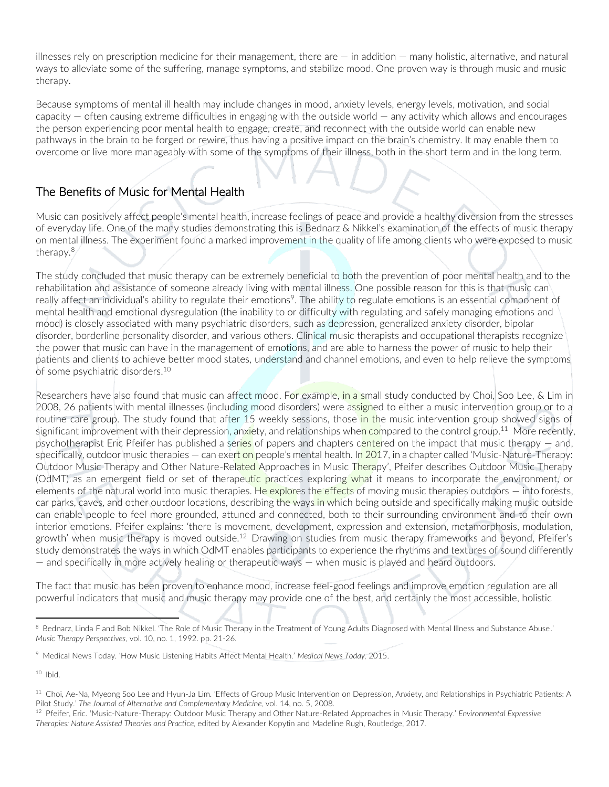illnesses rely on prescription medicine for their management, there are — in addition — many holistic, alternative, and natural ways to alleviate some of the suffering, manage symptoms, and stabilize mood. One proven way is through music and music therapy.

Because symptoms of mental ill health may include changes in mood, anxiety levels, energy levels, motivation, and social capacity — often causing extreme difficulties in engaging with the outside world — any activity which allows and encourages the person experiencing poor mental health to engage, create, and reconnect with the outside world can enable new pathways in the brain to be forged or rewire, thus having a positive impact on the brain's chemistry. It may enable them to overcome or live more manageably with some of the symptoms of their illness, both in the short term and in the long term.

## The Benefits of Music for Mental Health

Music can positively affect people's mental health, increase feelings of peace and provide a healthy diversion from the stresses of everyday life. One of the many studies demonstrating this is Bednarz & Nikkel's examination of the effects of music therapy on mental illness. The experiment found a marked improvement in the quality of life among clients who were exposed to music therapy.<sup>8</sup>

The study concluded that music therapy can be extremely beneficial to both the prevention of poor mental health and to the rehabilitation and assistance of someone already living with mental illness. One possible reason for this is that music can really affect an individual's ability to regulate their emotions<sup>9</sup>. The ability to regulate emotions is an essential component of mental health and emotional dysregulation (the inability to or difficulty with regulating and safely managing emotions and mood) is closely associated with many psychiatric disorders, such as depression, generalized anxiety disorder, bipolar disorder, borderline personality disorder, and various others. Clinical music therapists and occupational therapists recognize the power that music can have in the management of emotions, and are able to harness the power of music to help their patients and clients to achieve better mood states, understand and channel emotions, and even to help relieve the symptoms of some psychiatric disorders. 10

Researchers have also found that music can affect mood. For example, in a small study conducted by Choi, Soo Lee, & Lim in 2008, 26 patients with mental illnesses (including mood disorders) were assigned to either a music intervention group or to a routine care group. The study found that after 15 weekly sessions, those in the music intervention group showed signs of significant improvement with their depression, anx<mark>i</mark>ety, and relationships whe<mark>n co</mark>mpared to the control group.<sup>11</sup> More recently, psychotherapist Eric Pfeifer has published a series of papers and chapters centered on the impact that music therapy — and, specifically, outdoor music therapies  $-$  can exert on people's mental health. In 2017, in a chapter called 'Music-Nature-Therapy: Outdoor Music Therapy and Other Nature-Related Approaches in Music Therapy', Pfeifer describes Outdoor Music Therapy (OdMT) as an emergent field or set of therapeutic practices exploring what it means to incorporate the environment, or elements of the natural world into music therapies. He explores the effects of moving music therapies outdoors - into forests, car parks, caves, and other outdoor locations, describing the ways in which being outside and specifically making music outside can enable people to feel more grounded, attuned and connected, both to their surrounding environment and to their own interior emotions. Pfeifer explains: 'there is movement, development, expression and extension, metamorphosis, modulation, growth' when music therapy is moved outside.<sup>12</sup> Drawing on studies from music therapy frameworks and beyond, Pfeifer's study demonstrates the ways in which OdMT enables participants to experience the rhythms and textures of sound differently — and specifically in more actively healing or therapeutic ways — when music is played and heard outdoors.

The fact that music has been proven to enhance mood, increase feel-good feelings and improve emotion regulation are all powerful indicators that music and music therapy may provide one of the best, and certainly the most accessible, holistic

<sup>&</sup>lt;sup>8</sup> Bednarz, Linda F and Bob Nikkel. 'The Role of Music Therapy in the Treatment of Young Adults Diagnosed with Mental Illness and Substance Abuse.' *Music Therapy Perspectives,* vol. 10, no. 1, 1992. pp. 21-26.

<sup>9</sup> Medical News Today. 'How Music Listening Habits Affect Mental Health.' *Medical News Today,* 2015.

<sup>&</sup>lt;sup>11</sup> Choi, Ae-Na, Myeong Soo Lee and Hyun-Ja Lim. 'Effects of Group Music Intervention on Depression, Anxiety, and Relationships in Psychiatric Patients: A Pilot Study.' *The Journal of Alternative and Complementary Medicine,* vol. 14, no. 5, 2008.

<sup>12</sup> Pfeifer, Eric. 'Music-Nature-Therapy: Outdoor Music Therapy and Other Nature-Related Approaches in Music Therapy.' *Environmental Expressive Therapies: Nature Assisted Theories and Practice,* edited by Alexander Kopytin and Madeline Rugh, Routledge, 2017.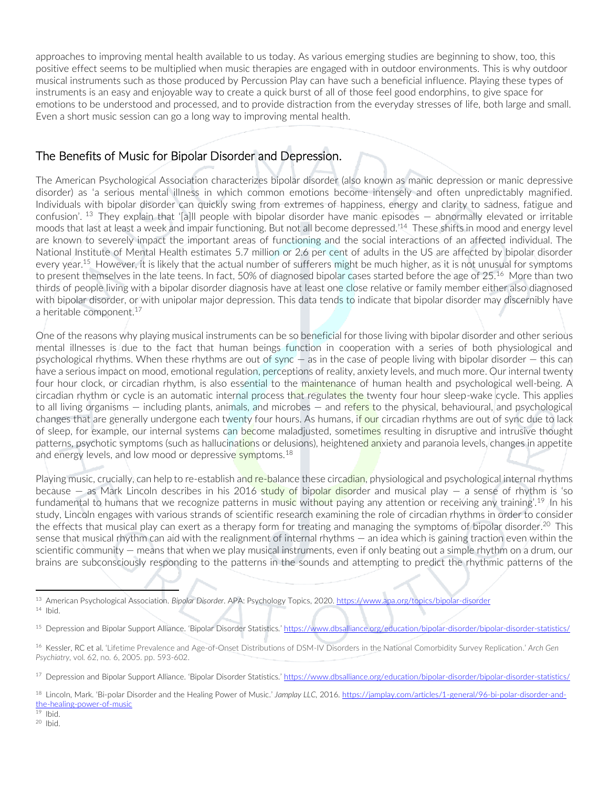approaches to improving mental health available to us today. As various emerging studies are beginning to show, too, this positive effect seems to be multiplied when music therapies are engaged with in outdoor environments. This is why outdoor musical instruments such as those produced by Percussion Play can have such a beneficial influence. Playing these types of instruments is an easy and enjoyable way to create a quick burst of all of those feel good endorphins, to give space for emotions to be understood and processed, and to provide distraction from the everyday stresses of life, both large and small. Even a short music session can go a long way to improving mental health.

## The Benefits of Music for Bipolar Disorder and Depression.

The American Psychological Association characterizes bipolar disorder (also known as manic depression or manic depressive disorder) as 'a serious mental illness in which common emotions become intensely and often unpredictably magnified. Individuals with bipolar disorder can quickly swing from extremes of happiness, energy and clarity to sadness, fatigue and confusion'. <sup>13</sup> They explain that '[a]ll people with bipolar disorder have manic episodes — abnormally elevated or irritable moods that last at least a week and impair functioning. But not all become depressed.' <sup>14</sup> These shifts in mood and energy level are known to severely impact the important areas of functioning and the social interactions of an affected individual. The National Institute of Mental Health estimates 5.7 million or 2.6 per cent of adults in the US are affected by bipolar disorder every year.<sup>15</sup> However, it is likely that the actual number of sufferers might be much higher, as it is not unusual for symptoms to present themselves in the late teens. In fact, 50% of diagnosed bipolar cases started before the age of 25. <sup>16</sup> More than two thirds of people living with a bipolar disorder diagnosis have at least one close relative or family member either also diagnosed with bipolar disorder, or with unipolar major depression. This data tends to indicate that bipolar disorder may discernibly have a heritable component.<sup>17</sup>

One of the reasons why playing musical instruments can be so beneficial for those living with bipolar disorder and other serious mental illnesses is due to the fact that human beings function in cooperation with a series of both physiological and psychological rhythms. When these rhythms are out of sync — as in the case of people living with bipolar disorder — this can have a serious impact on mood, emotional regulation, perceptions of reality, anxiety levels, and much more. Our internal twenty four hour clock, or circadian rhythm, is also essential to the maintenance of human health and psychological well-being. A circadian rhythm or cycle is an automatic internal process that regulates the twenty four hour sleep-wake cycle. This applies to all living organisms – including plants, animals, and microbes – and refers to the physical, behavioural, and psychological changes that are generally undergone each twenty four hours. As humans, if our circadian rhythms are out of sync due to lack of sleep, for example, our internal systems can become maladjusted, sometimes resulting in disruptive and intrusive thought patterns, psychotic symptoms (such as hallucinations or delusions), heightened anxiety and paranoia levels, changes in appetite and energy levels, and low mood or depressive symptoms.<sup>18</sup>

Playing music, crucially, can help to re-establish and re-balance these circadian, physiological and psychological internal rhythms because  $-$  as Mark Lincoln describes in his 2016 study of bipolar disorder and musical play  $-$  a sense of rhythm is 'so fundamental to humans that we recognize patterns in music without paying any attention or receiving any training'.<sup>19</sup> In his study, Lincoln engages with various strands of scientific research examining the role of circadian rhythms in order to consider the effects that musical play can exert as a therapy form for treating and managing the symptoms of bipolar disorder.<sup>20</sup> This sense that musical rhythm can aid with the realignment of internal rhythms — an idea which is gaining traction even within the scientific community — means that when we play musical instruments, even if only beating out a simple rhythm on a drum, our brains are subconsciously responding to the patterns in the sounds and attempting to predict the rhythmic patterns of the

<sup>13</sup> American Psychological Association. *Bipolar Disorder.* APA: Psychology Topics, 2020[. https://www.apa.org/topics/bipolar-disorder](https://www.apa.org/topics/bipolar-disorder)  $14$  Ibid.

<sup>&</sup>lt;sup>15</sup> Depression and Bipolar Support Alliance. 'Bipolar Disorder Statistics.' <https://www.dbsalliance.org/education/bipolar-disorder/bipolar-disorder-statistics/>

<sup>16</sup> Kessler, RC et al. 'Lifetime Prevalence and Age-of-Onset Distributions of DSM-IV Disorders in the National Comorbidity Survey Replication.' *Arch Gen Psychiatry,* vol. 62, no. 6, 2005. pp. 593-602.

<sup>&</sup>lt;sup>17</sup> Depression and Bipolar Support Alliance. 'Bipolar Disorder Statistics.' <https://www.dbsalliance.org/education/bipolar-disorder/bipolar-disorder-statistics/>

<sup>18</sup> Lincoln, Mark. 'Bi-polar Disorder and the Healing Power of Music.' *Jamplay LLC,* 2016[. https://jamplay.com/articles/1-general/96-bi-polar-disorder-and](https://jamplay.com/articles/1-general/96-bi-polar-disorder-and-the-healing-power-of-music)[the-healing-power-of-music](https://jamplay.com/articles/1-general/96-bi-polar-disorder-and-the-healing-power-of-music) 

 $19$  Ibid.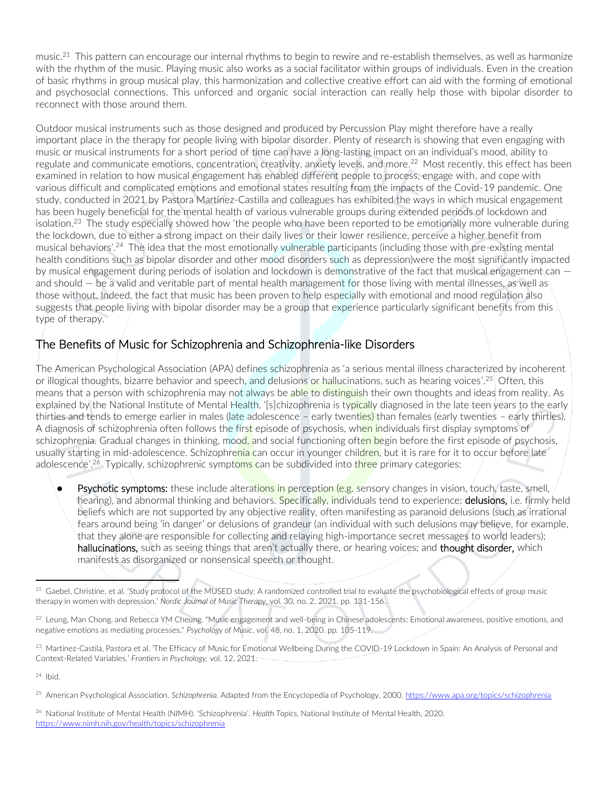music.<sup>21</sup> This pattern can encourage our internal rhythms to begin to rewire and re-establish themselves, as well as harmonize with the rhythm of the music. Playing music also works as a social facilitator within groups of individuals. Even in the creation of basic rhythms in group musical play, this harmonization and collective creative effort can aid with the forming of emotional and psychosocial connections. This unforced and organic social interaction can really help those with bipolar disorder to reconnect with those around them.

Outdoor musical instruments such as those designed and produced by Percussion Play might therefore have a really important place in the therapy for people living with bipolar disorder. Plenty of research is showing that even engaging with music or musical instruments for a short period of time can have a long-lasting impact on an individual's mood, ability to regulate and communicate emotions, concentration, creativity, anxiety levels, and more. <sup>22</sup> Most recently, this effect has been examined in relation to how musical engagement has enabled different people to process, engage with, and cope with various difficult and complicated emotions and emotional states resulting from the impacts of the Covid-19 pandemic. One study, conducted in 2021 by Pastora Martínez-Castilla and colleagues has exhibited the ways in which musical engagement has been hugely beneficial for the mental health of various vulnerable groups during extended periods of lockdown and isolation.<sup>23</sup> The study especially showed how 'the people who have been reported to be emotionally more vulnerable during the lockdown, due to either a strong impact on their daily lives or their lower resilience, perceive a higher benefit from musical behaviors'.<sup>24</sup> The idea that the most emotionally vulnerable participants (including those with pre-existing mental health conditions such as bipolar disorder and other mood disorders such as depression)were the most significantly impacted by musical engagement during periods of isolation and lockdown is demonstrative of the fact that musical engagement can and should — be a valid and veritable part of mental health management for those living with mental illnesses, as well as those without. Indeed, the fact that music has been proven to help especially with emotional and mood regulation also suggests that people living with bipolar disorder may be a group that experience particularly significant benefits from this type of therapy.

## The Benefits of Music for Schizophrenia and Schizophrenia-like Disorders

The American Psychological Association (APA) defines schizophrenia as 'a serious mental illness characterized by incoherent or illogical thoughts, bizarre behavior and speech, and delusions or hallucinations, such as hearing voices'.<sup>25</sup> Often, this means that a person with schizophrenia may not always be able to distinguish their own thoughts and ideas from reality. As explained by the National Institute of Mental Health, '[s]chizophrenia is typically diagnosed in the late teen years to the early thirties and tends to emerge earlier in males (late adolescence – early twenties) than females (early twenties – early thirties). A diagnosis of schizophrenia often follows the first episode of psychosis, when individuals first display symptoms of schizophrenia. Gradual changes in thinking, mood, and social functioning often begin before the first episode of psychosis, usually starting in mid-adolescence. Schizophrenia can occur in younger children, but it is rare for it to occur before late adolescence'.<sup>26</sup> Typically, schizophrenic symptoms can be subdivided into three primary categories:

Psychotic symptoms: these include alterations in perception (e.g. sensory changes in vision, touch, taste, smell, hearing), and abnormal thinking and behaviors. Specifically, individuals tend to experience: **delusions**, i.e. firmly held beliefs which are not supported by any objective reality, often manifesting as paranoid delusions (such as irrational fears around being 'in danger' or delusions of grandeur (an individual with such delusions may believe, for example, that they alone are responsible for collecting and relaying high-importance secret messages to world leaders); hallucinations, such as seeing things that aren't actually there, or hearing voices; and thought disorder, which manifests as disorganized or nonsensical speech or thought.

<sup>&</sup>lt;sup>21</sup> Gaebel, Christine, et al. 'Study protocol of the MUSED study: A randomized controlled trial to evaluate the psychobiological effects of group music therapy in women with depression.' *Nordic Journal of Music Therapy,* vol. 30, no. 2, 2021. pp. 131-156.

<sup>&</sup>lt;sup>22</sup> Leung, Man Chong, and Rebecca YM Cheung. "Music engagement and well-being in Chinese adolescents: Emotional awareness, positive emotions, and negative emotions as mediating processes." *Psychology of Music*, vol. 48, no. 1, 2020. pp. 105-119.

<sup>&</sup>lt;sup>23</sup> Martínez-Castila, Pastora et al. 'The Efficacy of Music for Emotional Wellbeing During the COVID-19 Lockdown in Spain: An Analysis of Personal and Context-Related Variables.' *Frontiers in Psychology,* vol. 12, 2021.

<sup>25</sup> American Psychological Association. *Schizophrenia.* Adapted from the Encyclopedia of Psychology, 2000. <https://www.apa.org/topics/schizophrenia>

<sup>26</sup> National Institute of Mental Health (NIMH). 'Schizophrenia'. *Health Topics,* National Institute of Mental Health, 2020. <https://www.nimh.nih.gov/health/topics/schizophrenia>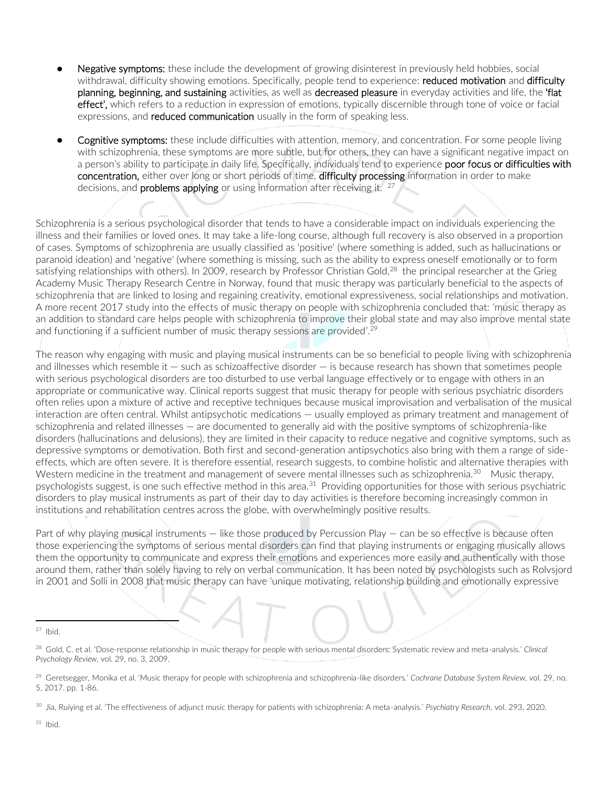- Negative symptoms: these include the development of growing disinterest in previously held hobbies, social withdrawal, difficulty showing emotions. Specifically, people tend to experience: reduced motivation and difficulty planning, beginning, and sustaining activities, as well as decreased pleasure in everyday activities and life, the 'flat effect', which refers to a reduction in expression of emotions, typically discernible through tone of voice or facial expressions, and **reduced communication** usually in the form of speaking less.
- **Cognitive symptoms:** these include difficulties with attention, memory, and concentration. For some people living with schizophrenia, these symptoms are more subtle, but for others, they can have a significant negative impact on a person's ability to participate in daily life. Specifically, individuals tend to experience poor focus or difficulties with concentration, either over long or short periods of time, difficulty processing information in order to make decisions, and **problems applying** or using information after receiving it.  $27$

Schizophrenia is a serious psychological disorder that tends to have a considerable impact on individuals experiencing the illness and their families or loved ones. It may take a life-long course, although full recovery is also observed in a proportion of cases. Symptoms of schizophrenia are usually classified as 'positive' (where something is added, such as hallucinations or paranoid ideation) and 'negative' (where something is missing, such as the ability to express oneself emotionally or to form satisfying relationships with others). In 2009, research by Professor Christian Gold, $^{28}$  the principal researcher at the Grieg Academy Music Therapy Research Centre in Norway, found that music therapy was particularly beneficial to the aspects of schizophrenia that are linked to losing and regaining creativity, emotional expressiveness, social relationships and motivation. A more recent 2017 study into the effects of music therapy on people with schizophrenia concluded that: 'music therapy as an addition to standard care helps people with schizophrenia to improve their global state and may also improve mental state and functioning if a sufficient number of music therapy sessions are provided'.<sup>29</sup>

The reason why engaging with music and playing musical instruments can be so beneficial to people living with schizophrenia and illnesses which resemble it — such as schizoaffective disorder — is because research has shown that sometimes people with serious psychological disorders are too disturbed to use verbal language effectively or to engage with others in an appropriate or communicative way. Clinical reports suggest that music therapy for people with serious psychiatric disorders often relies upon a mixture of active and receptive techniques because musical improvisation and verbalisation of the musical interaction are often central. Whilst antipsychotic medications — usually employed as primary treatment and management of schizophrenia and related illnesses — are documented to generally aid with the positive symptoms of schizophrenia-like disorders (hallucinations and delusions), they are limited in their capacity to reduce negative and cognitive symptoms, such as depressive symptoms or demotivation. Both first and second-generation antipsychotics also bring with them a range of sideeffects, which are often severe. It is therefore essential, research suggests, to combine holistic and alternative therapies with Western medicine in the treatment and management of severe mental illnesses such as schizophrenia. $^{30}$  Music therapy, psychologists suggest, is one such effective method in this area.<sup>31</sup> Providing opportunities for those with serious psychiatric disorders to play musical instruments as part of their day to day activities is therefore becoming increasingly common in institutions and rehabilitation centres across the globe, with overwhelmingly positive results.

Part of why playing musical instruments — like those produced by Percussion Play — can be so effective is because often those experiencing the symptoms of serious mental disorders can find that playing instruments or engaging musically allows them the opportunity to communicate and express their emotions and experiences more easily and authentically with those around them, rather than solely having to rely on verbal communication. It has been noted by psychologists such as Rolvsjord in 2001 and Solli in 2008 that music therapy can have 'unique motivating, relationship building and emotionally expressive

<sup>28</sup> Gold, C. et al. 'Dose-response relationship in music therapy for people with serious mental disorders: Systematic review and meta-analysis.' *Clinical Psychology Review,* vol. 29, no. 3, 2009.

<sup>29</sup> Geretsegger, Monika et al. 'Music therapy for people with schizophrenia and schizophrenia-like disorders.' *Cochrane Database System Review,* vol. 29, no. 5, 2017. pp. 1-86.

<sup>30</sup> Jia, Ruiying et al. 'The effectiveness of adjunct music therapy for patients with schizophrenia: A meta-analysis.' *Psychiatry Research*, vol. 293, 2020.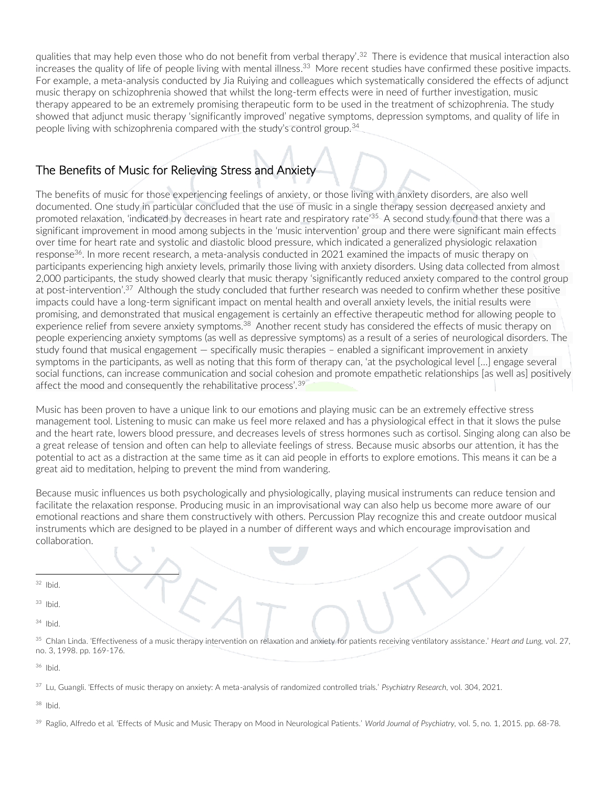qualities that may help even those who do not benefit from verbal therapy'.<sup>32</sup> There is evidence that musical interaction also increases the quality of life of people living with mental illness. <sup>33</sup> More recent studies have confirmed these positive impacts. For example, a meta-analysis conducted by Jia Ruiying and colleagues which systematically considered the effects of adjunct music therapy on schizophrenia showed that whilst the long-term effects were in need of further investigation, music therapy appeared to be an extremely promising therapeutic form to be used in the treatment of schizophrenia. The study showed that adjunct music therapy 'significantly improved' negative symptoms, depression symptoms, and quality of life in people living with schizophrenia compared with the study's control group.<sup>34</sup>

## The Benefits of Music for Relieving Stress and Anxiety

The benefits of music for those experiencing feelings of anxiety, or those living with anxiety disorders, are also well documented. One study in particular concluded that the use of music in a single therapy session decreased anxiety and promoted relaxation, 'indicated by decreases in heart rate and respiratory rate'<sup>35.</sup> A second study found that there was a significant improvement in mood among subjects in the 'music intervention' group and there were significant main effects over time for heart rate and systolic and diastolic blood pressure, which indicated a generalized physiologic relaxation response<sup>36</sup>. In more recent research, a meta-analysis conducted in 2021 examined the impacts of music therapy on participants experiencing high anxiety levels, primarily those living with anxiety disorders. Using data collected from almost 2,000 participants, the study showed clearly that music therapy 'significantly reduced anxiety compared to the control group at post-intervention'.<sup>37</sup> Although the study concluded that further research was needed to confirm whether these positive impacts could have a long-term significant impact on mental health and overall anxiety levels, the initial results were promising, and demonstrated that musical engagement is certainly an effective therapeutic method for allowing people to experience relief from severe anxiety symptoms.<sup>38</sup> Another recent study has considered the effects of music therapy on people experiencing anxiety symptoms (as well as depressive symptoms) as a result of a series of neurological disorders. The study found that musical engagement — specifically music therapies – enabled a significant improvement in anxiety symptoms in the participants, as well as noting that this form of therapy can, 'at the psychological level […] engage several social functions, can increase communication and social cohesion and promote empathetic relationships [as well as] positively affect the mood and consequently the rehabilitative process'.<sup>39</sup>

Music has been proven to have a unique link to our emotions and playing music can be an extremely effective stress management tool. Listening to music can make us feel more relaxed and has a physiological effect in that it slows the pulse and the heart rate, lowers blood pressure, and decreases levels of stress hormones such as cortisol. Singing along can also be a great release of tension and often can help to alleviate feelings of stress. Because music absorbs our attention, it has the potential to act as a distraction at the same time as it can aid people in efforts to explore emotions. This means it can be a great aid to meditation, helping to prevent the mind from wandering.

Because music influences us both psychologically and physiologically, playing musical instruments can reduce tension and facilitate the relaxation response. Producing music in an improvisational way can also help us become more aware of our emotional reactions and share them constructively with others. Percussion Play recognize this and create outdoor musical instruments which are designed to be played in a number of different ways and which encourage improvisation and collaboration.

 $32$  Ibid.

<sup>33</sup> Ibid.

<sup>34</sup> Ibid.

<sup>35</sup> Chlan Linda. 'Effectiveness of a music therapy intervention on relaxation and anxiety for patients receiving ventilatory assistance.' *Heart and Lung,* vol. 27, no. 3, 1998. pp. 169-176.

<sup>36</sup> Ibid.

<sup>37</sup> Lu, Guangli. 'Effects of music therapy on anxiety: A meta-analysis of randomized controlled trials.' *Psychiatry Research,* vol. 304, 2021.

<sup>38</sup> Ibid.

<sup>39</sup> Raglio, Alfredo et al. 'Effects of Music and Music Therapy on Mood in Neurological Patients.' *World Journal of Psychiatry,* vol. 5, no. 1, 2015. pp. 68-78.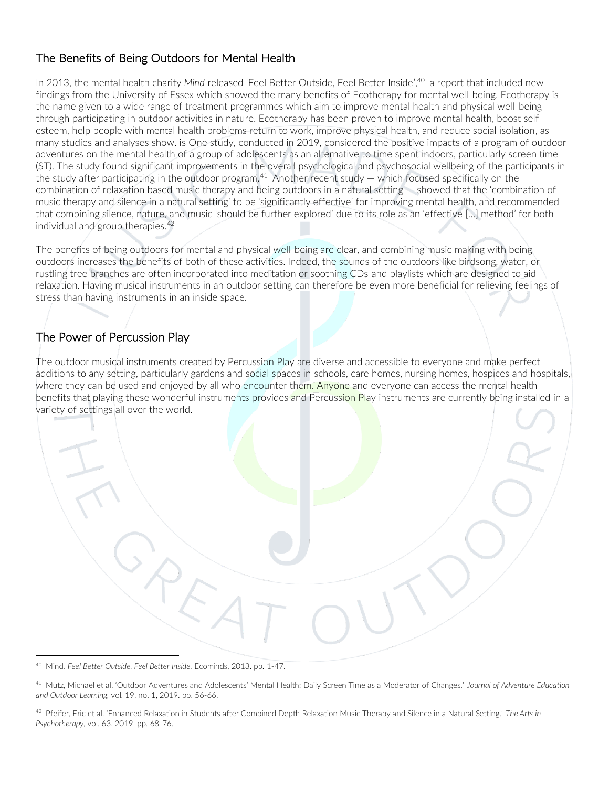## The Benefits of Being Outdoors for Mental Health

In 2013, the mental health charity *Mind* released 'Feel Better Outside, Feel Better Inside', <sup>40</sup> a report that included new findings from the University of Essex which showed the many benefits of Ecotherapy for mental well-being. Ecotherapy is the name given to a wide range of treatment programmes which aim to improve mental health and physical well-being through participating in outdoor activities in nature. Ecotherapy has been proven to improve mental health, boost self esteem, help people with mental health problems return to work, improve physical health, and reduce social isolation, as many studies and analyses show. is One study, conducted in 2019, considered the positive impacts of a program of outdoor adventures on the mental health of a group of adolescents as an alternative to time spent indoors, particularly screen time (ST). The study found significant improvements in the overall psychological and psychosocial wellbeing of the participants in the study after participating in the outdoor program.<sup>41</sup> Another recent study  $-$  which focused specifically on the combination of relaxation based music therapy and being outdoors in a natural setting — showed that the 'combination of music therapy and silence in a natural setting' to be 'significantly effective' for improving mental health, and recommended that combining silence, nature, and music 'should be further explored' due to its role as an 'effective […] method' for both individual and group therapies.<sup>42</sup>

The benefits of being outdoors for mental and physical well-being are clear, and combining music making with being outdoors increases the benefits of both of these activities. Indeed, the sounds of the outdoors like birdsong, water, or rustling tree branches are often incorporated into meditation or soothing CDs and playlists which are designed to aid relaxation. Having musical instruments in an outdoor setting can therefore be even more beneficial for relieving feelings of stress than having instruments in an inside space.

## The Power of Percussion Play

The outdoor musical instruments created by Percussion Play are diverse and accessible to everyone and make perfect additions to any setting, particularly gardens and social spaces in schools, care homes, nursing homes, hospices and hospitals, where they can be used and enjoyed by all who encounter them. Anyone and everyone can access the mental health benefits that playing these wonderful instruments provides and Percussion Play instruments are currently being installed in a variety of settings all over the world.

<sup>40</sup> Mind. *Feel Better Outside, Feel Better Inside.* Ecominds, 2013. pp. 1-47.

<sup>41</sup> Mutz, Michael et al. 'Outdoor Adventures and Adolescents' Mental Health: Daily Screen Time as a Moderator of Changes.' *Journal of Adventure Education and Outdoor Learning,* vol. 19, no. 1, 2019. pp. 56-66.

<sup>42</sup> Pfeifer, Eric et al. 'Enhanced Relaxation in Students after Combined Depth Relaxation Music Therapy and Silence in a Natural Setting.' *The Arts in Psychotherapy,* vol. 63, 2019. pp. 68-76.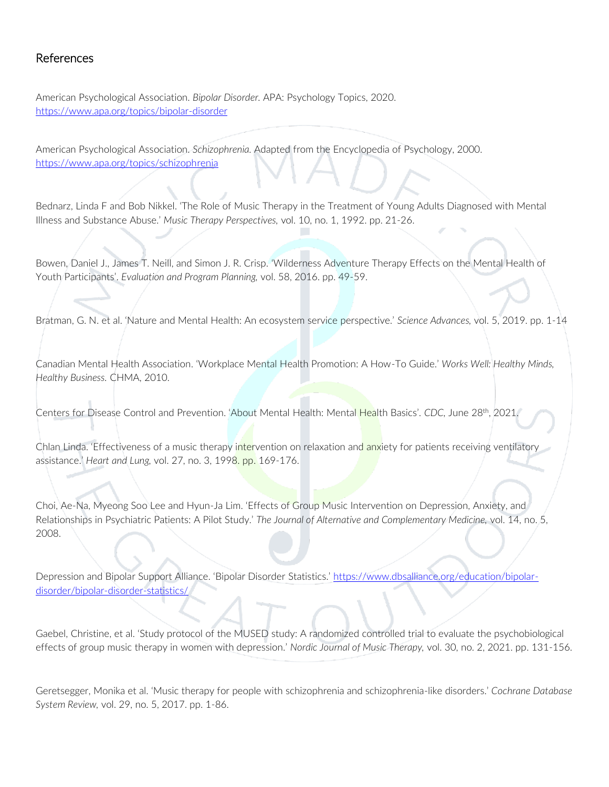### References

American Psychological Association. *Bipolar Disorder.* APA: Psychology Topics, 2020. <https://www.apa.org/topics/bipolar-disorder>

American Psychological Association. *Schizophrenia.* Adapted from the Encyclopedia of Psychology, 2000. <https://www.apa.org/topics/schizophrenia>

Bednarz, Linda F and Bob Nikkel. 'The Role of Music Therapy in the Treatment of Young Adults Diagnosed with Mental Illness and Substance Abuse.' *Music Therapy Perspectives,* vol. 10, no. 1, 1992. pp. 21-26.

Bowen, Daniel J., James T. Neill, and Simon J. R. Crisp. 'Wilderness Adventure Therapy Effects on the Mental Health of Youth Participants'. *Evaluation and Program Planning,* vol. 58, 2016. pp. 49-59.

Bratman, G. N. et al. 'Nature and Mental Health: An ecosystem service perspective.' *Science Advances,* vol. 5, 2019. pp. 1-14

Canadian Mental Health Association. 'Workplace Mental Health Promotion: A How-To Guide.' *Works Well: Healthy Minds, Healthy Business.* CHMA, 2010.

Centers for Disease Control and Prevention. 'About Mental Health: Mental Health Basics'. *CDC,* June 28th, 2021.

Chlan Linda. 'Effectiveness of a music therapy intervention on relaxation and anxiety for patients receiving ventilatory assistance.' *Heart and Lung,* vol. 27, no. 3, 1998. pp. 169-176.

Choi, Ae-Na, Myeong Soo Lee and Hyun-Ja Lim. 'Effects of Group Music Intervention on Depression, Anxiety, and Relationships in Psychiatric Patients: A Pilot Study.' *The Journal of Alternative and Complementary Medicine,* vol. 14, no. 5, 2008.

Depression and Bipolar Support Alliance. 'Bipolar Disorder Statistics.' [https://www.dbsalliance.org/education/bipolar](https://www.dbsalliance.org/education/bipolar-disorder/bipolar-disorder-statistics/)[disorder/bipolar-disorder-statistics/](https://www.dbsalliance.org/education/bipolar-disorder/bipolar-disorder-statistics/)

Gaebel, Christine, et al. 'Study protocol of the MUSED study: A randomized controlled trial to evaluate the psychobiological effects of group music therapy in women with depression.' *Nordic Journal of Music Therapy,* vol. 30, no. 2, 2021. pp. 131-156.

Geretsegger, Monika et al. 'Music therapy for people with schizophrenia and schizophrenia-like disorders.' *Cochrane Database System Review,* vol. 29, no. 5, 2017. pp. 1-86.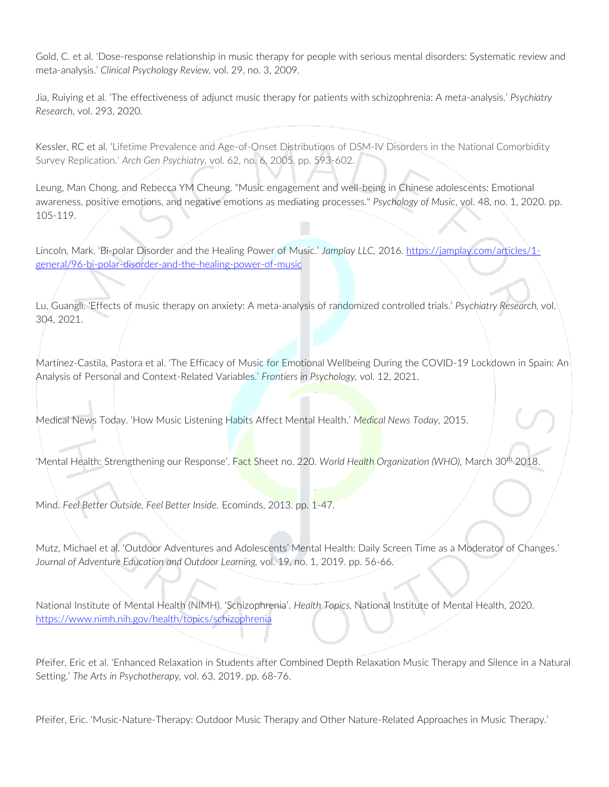Gold, C. et al. 'Dose-response relationship in music therapy for people with serious mental disorders: Systematic review and meta-analysis.' *Clinical Psychology Review,* vol. 29, no. 3, 2009.

Jia, Ruiying et al. 'The effectiveness of adjunct music therapy for patients with schizophrenia: A meta-analysis.' *Psychiatry Research*, vol. 293, 2020.

Kessler, RC et al. 'Lifetime Prevalence and Age-of-Onset Distributions of DSM-IV Disorders in the National Comorbidity Survey Replication.' *Arch Gen Psychiatry,* vol. 62, no. 6, 2005. pp. 593-602.

Leung, Man Chong, and Rebecca YM Cheung. "Music engagement and well-being in Chinese adolescents: Emotional awareness, positive emotions, and negative emotions as mediating processes." *Psychology of Music*, vol. 48, no. 1, 2020. pp. 105-119.

Lincoln, Mark. 'Bi-polar Disorder and the Healing Power of Music.' *Jamplay LLC,* 2016. [https://jamplay.com/articles/1](https://jamplay.com/articles/1-general/96-bi-polar-disorder-and-the-healing-power-of-music) [general/96-bi-polar-disorder-and-the-healing-power-of-music](https://jamplay.com/articles/1-general/96-bi-polar-disorder-and-the-healing-power-of-music) 

Lu, Guangli. 'Effects of music therapy on anxiety: A meta-analysis of randomized controlled trials.' *Psychiatry Research,* vol. 304, 2021.

Martínez-Castila, Pastora et al. 'The Efficacy of Music for Emotional Wellbeing During the COVID-19 Lockdown in Spain: An Analysis of Personal and Context-Related Variables.' *Frontiers in Psychology,* vol. 12, 2021.

Medical News Today. 'How Music Listening Habits Affect Mental Health.' *Medical News Today,* 2015.

'Mental Health: Strengthening our Response'. Fact Sheet no. 220. *World Health Organization (WHO),* March 30th 2018.

Mind. *Feel Better Outside, Feel Better Inside.* Ecominds, 2013. pp. 1-47.

Mutz, Michael et al. 'Outdoor Adventures and Adolescents' Mental Health: Daily Screen Time as a Moderator of Changes.' *Journal of Adventure Education and Outdoor Learning,* vol. 19, no. 1, 2019. pp. 56-66.

National Institute of Mental Health (NIMH). 'Schizophrenia'. *Health Topics,* National Institute of Mental Health, 2020. <https://www.nimh.nih.gov/health/topics/schizophrenia>

Pfeifer, Eric et al. 'Enhanced Relaxation in Students after Combined Depth Relaxation Music Therapy and Silence in a Natural Setting.' *The Arts in Psychotherapy,* vol. 63, 2019. pp. 68-76.

Pfeifer, Eric. 'Music-Nature-Therapy: Outdoor Music Therapy and Other Nature-Related Approaches in Music Therapy.'